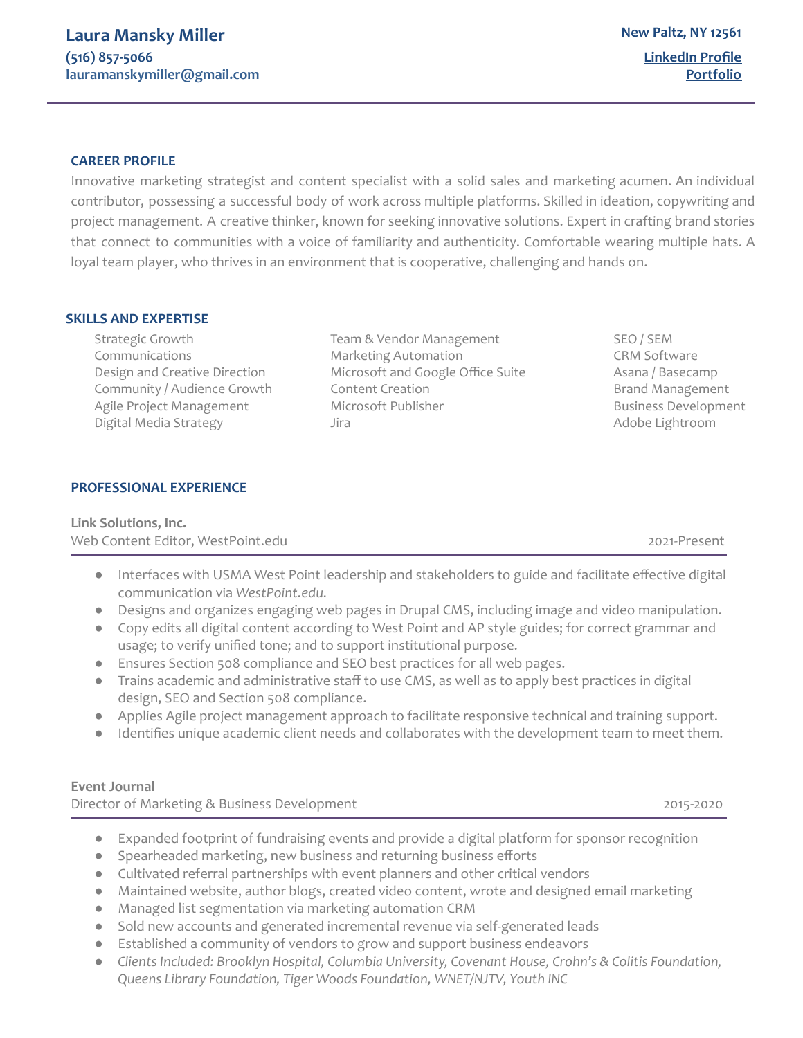# **CAREER PROFILE**

Innovative marketing strategist and content specialist with a solid sales and marketing acumen. An individual contributor, possessing a successful body of work across multiple platforms. Skilled in ideation, copywriting and project management. A creative thinker, known for seeking innovative solutions. Expert in crafting brand stories that connect to communities with a voice of familiarity and authenticity. Comfortable wearing multiple hats. A loyal team player, who thrives in an environment that is cooperative, challenging and hands on.

#### **SKILLS AND EXPERTISE**

Digital Media Strategy Jira Adobe Lightroom

Strategic Growth Team & Vendor Management SEO / SEM Communications Marketing Automation CRM Software Design and Creative Direction Microsoft and Google Office Suite Asana / Basecamp Community / Audience Growth Content Creation Content Creation Brand Management Agile Project Management **Microsoft Publisher** Microsoft Publisher **Business Development** 

# **PROFESSIONAL EXPERIENCE**

# **Link Solutions, Inc.** Web Content Editor, WestPoint.edu 2021-Present

- Interfaces with USMA West Point leadership and stakeholders to guide and facilitate effective digital communication via *WestPoint.edu.*
- *●* Designs and organizes engaging web pages in Drupal CMS, including image and video manipulation.
- *●* Copy edits all digital content according to West Point and AP style guides; for correct grammar and usage; to verify unified tone; and to support institutional purpose.
- *●* Ensures Section 508 compliance and SEO best practices for all web pages.
- *●* Trains academic and administrative staff to use CMS, as well as to apply best practices in digital design, SEO and Section 508 compliance.
- *●* Applies Agile project management approach to facilitate responsive technical and training support.
- Identifies unique academic client needs and collaborates with the development team to meet them.

# **Event Journal**

Director of Marketing & Business Development 2015-2020 2015-2020

- Expanded footprint of fundraising events and provide a digital platform for sponsor recognition
- Spearheaded marketing, new business and returning business efforts
- Cultivated referral partnerships with event planners and other critical vendors
- Maintained website, author blogs, created video content, wrote and designed email marketing
- Managed list segmentation via marketing automation CRM
- Sold new accounts and generated incremental revenue via self-generated leads
- Established a community of vendors to grow and support business endeavors
- *● Clients Included: Brooklyn Hospital, Columbia University, Covenant House, Crohn's & Colitis Foundation, Queens Library Foundation, Tiger Woods Foundation, WNET/NJTV, Youth INC*